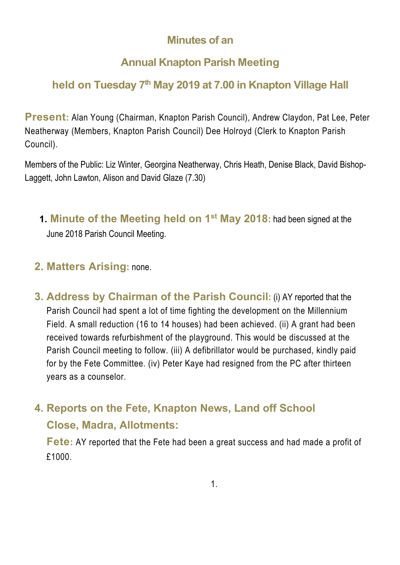### **Minutes of an**

### **Annual Knapton Parish Meeting**

## **held on Tuesday 7th May 2019 at 7.00 in Knapton Village Hall**

**Present:** Alan Young (Chairman, Knapton Parish Council), Andrew Claydon, Pat Lee, Peter Neatherway (Members, Knapton Parish Council) Dee Holroyd (Clerk to Knapton Parish Council).

Members of the Public: Liz Winter, Georgina Neatherway, Chris Heath, Denise Black, David Bishop-Laggett, John Lawton, Alison and David Glaze (7.30)

**1. Minute of the Meeting held on 1st May 2018:** had been signed at the June 2018 Parish Council Meeting.

#### **2. Matters Arising:** none.

**3. Address by Chairman of the Parish Council:** (i) AY reported that the Parish Council had spent a lot of time fighting the development on the Millennium Field. A small reduction (16 to 14 houses) had been achieved. (ii) A grant had been received towards refurbishment of the playground. This would be discussed at the Parish Council meeting to follow. (iii) A defibrillator would be purchased, kindly paid for by the Fete Committee. (iv) Peter Kaye had resigned from the PC after thirteen years as a counselor.

# **4. Reports on the Fete, Knapton News, Land off School Close, Madra, Allotments:**

**Fete:** AY reported that the Fete had been a great success and had made a profit of £1000.